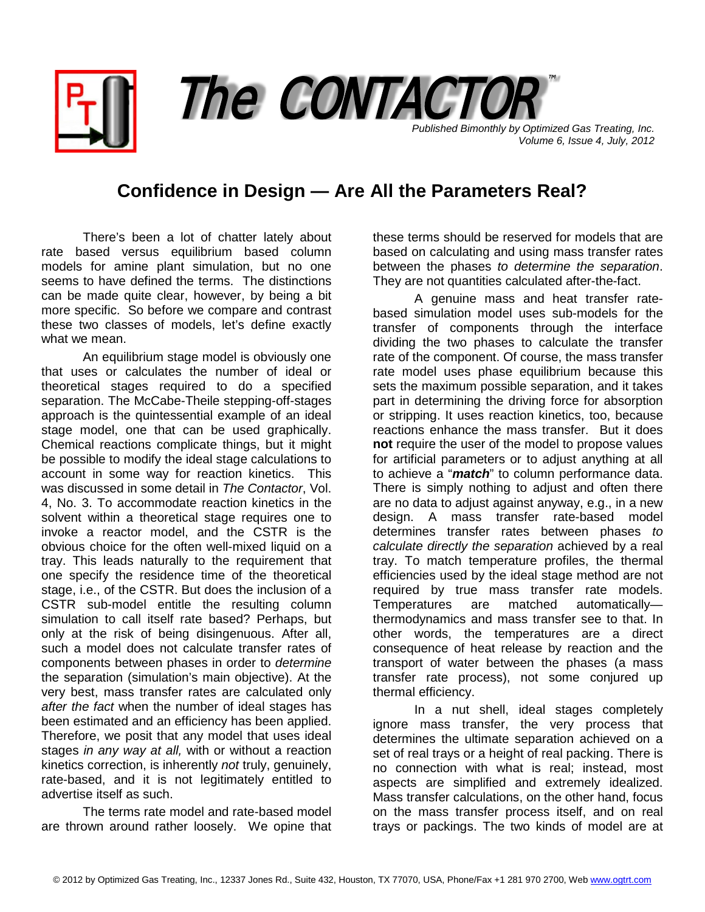*Published Bimonthly by Optimized Gas Treating, Inc. Volume 6, Issue 4, July, 2012* The CONTACTOR

## **Confidence in Design — Are All the Parameters Real?**

There's been a lot of chatter lately about rate based versus equilibrium based column models for amine plant simulation, but no one seems to have defined the terms. The distinctions can be made quite clear, however, by being a bit more specific. So before we compare and contrast these two classes of models, let's define exactly what we mean.

An equilibrium stage model is obviously one that uses or calculates the number of ideal or theoretical stages required to do a specified separation. The McCabe-Theile stepping-off-stages approach is the quintessential example of an ideal stage model, one that can be used graphically. Chemical reactions complicate things, but it might be possible to modify the ideal stage calculations to account in some way for reaction kinetics. This was discussed in some detail in *The Contactor*, Vol. 4, No. 3. To accommodate reaction kinetics in the solvent within a theoretical stage requires one to invoke a reactor model, and the CSTR is the obvious choice for the often well-mixed liquid on a tray. This leads naturally to the requirement that one specify the residence time of the theoretical stage, i.e., of the CSTR. But does the inclusion of a CSTR sub-model entitle the resulting column simulation to call itself rate based? Perhaps, but only at the risk of being disingenuous. After all, such a model does not calculate transfer rates of components between phases in order to *determine* the separation (simulation's main objective). At the very best, mass transfer rates are calculated only *after the fact* when the number of ideal stages has been estimated and an efficiency has been applied. Therefore, we posit that any model that uses ideal stages *in any way at all,* with or without a reaction kinetics correction, is inherently *not* truly, genuinely, rate-based, and it is not legitimately entitled to advertise itself as such.

The terms rate model and rate-based model are thrown around rather loosely. We opine that these terms should be reserved for models that are based on calculating and using mass transfer rates between the phases *to determine the separation*. They are not quantities calculated after-the-fact.

A genuine mass and heat transfer ratebased simulation model uses sub-models for the transfer of components through the interface dividing the two phases to calculate the transfer rate of the component. Of course, the mass transfer rate model uses phase equilibrium because this sets the maximum possible separation, and it takes part in determining the driving force for absorption or stripping. It uses reaction kinetics, too, because reactions enhance the mass transfer. But it does **not** require the user of the model to propose values for artificial parameters or to adjust anything at all to achieve a "*match*" to column performance data. There is simply nothing to adjust and often there are no data to adjust against anyway, e.g., in a new design. A mass transfer rate-based model determines transfer rates between phases *to calculate directly the separation* achieved by a real tray. To match temperature profiles, the thermal efficiencies used by the ideal stage method are not required by true mass transfer rate models. Temperatures are matched automatically thermodynamics and mass transfer see to that. In other words, the temperatures are a direct consequence of heat release by reaction and the transport of water between the phases (a mass transfer rate process), not some conjured up thermal efficiency.

In a nut shell, ideal stages completely ignore mass transfer, the very process that determines the ultimate separation achieved on a set of real trays or a height of real packing. There is no connection with what is real; instead, most aspects are simplified and extremely idealized. Mass transfer calculations, on the other hand, focus on the mass transfer process itself, and on real trays or packings. The two kinds of model are at